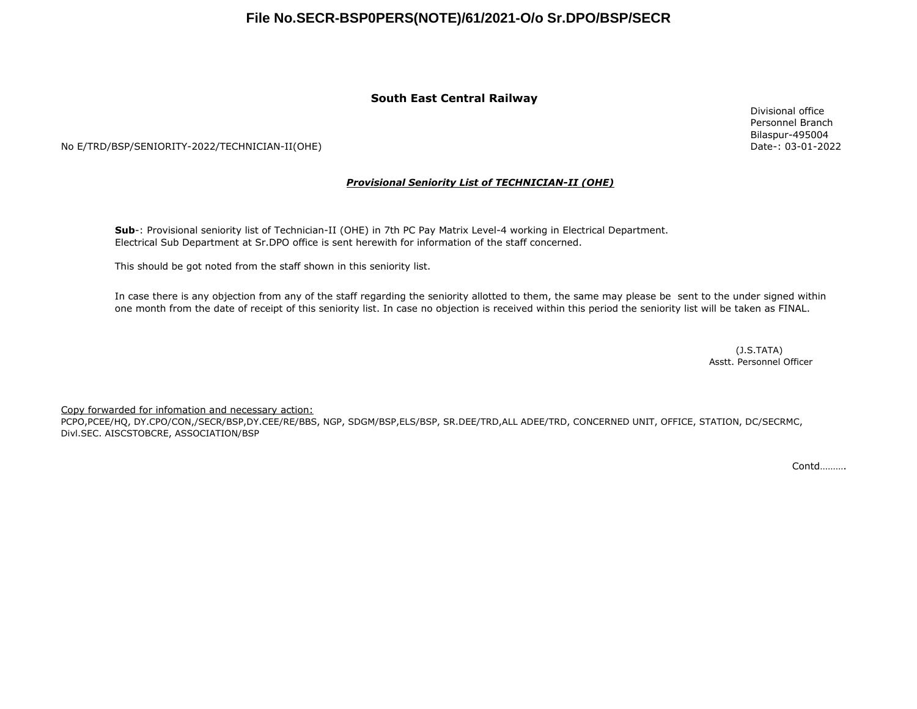## **File No.SECR-BSP0PERS(NOTE)/61/2021-O/o Sr.DPO/BSP/SECR**

### **South East Central Railway**

No E/TRD/BSP/SENIORITY-2022/TECHNICIAN-II(OHE)

### *Provisional Seniority List of TECHNICIAN-II (OHE)*

**Sub**-: Provisional seniority list of Technician-II (OHE) in 7th PC Pay Matrix Level-4 working in Electrical Department. Electrical Sub Department at Sr.DPO office is sent herewith for information of the staff concerned.

This should be got noted from the staff shown in this seniority list.

In case there is any objection from any of the staff regarding the seniority allotted to them, the same may please be sent to the under signed within one month from the date of receipt of this seniority list. In case no objection is received within this period the seniority list will be taken as FINAL.

> (J.S.TATA) Asstt. Personnel Officer

Copy forwarded for infomation and necessary action:

PCPO,PCEE/HQ, DY.CPO/CON,/SECR/BSP,DY.CEE/RE/BBS, NGP, SDGM/BSP,ELS/BSP, SR.DEE/TRD,ALL ADEE/TRD, CONCERNED UNIT, OFFICE, STATION, DC/SECRMC, Divl.SEC. AISCSTOBCRE, ASSOCIATION/BSP

Contd……….

Divisional office Personnel Branch Bilaspur-495004 Date-: 03-01-2022